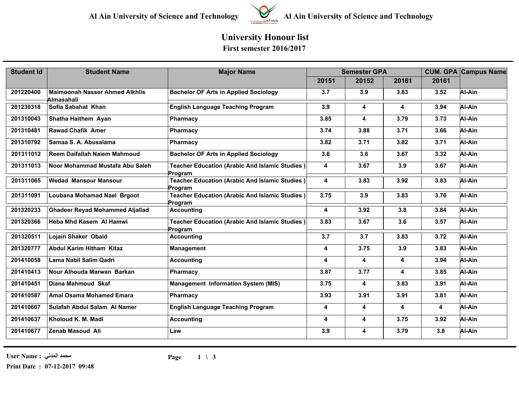

# **Al Ain University of Science and Technology Al Ain University of Science and Technology**

### **University Honour list First semester 2016/2017**

| <b>Student Id</b> | <b>Student Name</b>                                 | <b>Major Name</b>                                                | <b>Semester GPA</b>     |       |       |                         | <b>CUM. GPA Campus Name</b> |
|-------------------|-----------------------------------------------------|------------------------------------------------------------------|-------------------------|-------|-------|-------------------------|-----------------------------|
|                   |                                                     |                                                                  | 20151                   | 20152 | 20161 | 20161                   |                             |
| 201220400         | <b>Maimoonah Nasser Ahmed Alkhlis</b><br>Almasahali | <b>Bachelor OF Arts in Applied Sociology</b>                     | 3.7                     | 3.9   | 3.83  | 3.52                    | Al-Ain                      |
| 201230318         | Sofia Sabahat Khan                                  | <b>English Language Teaching Program</b>                         | 3.9                     | 4     | 4     | 3.94                    | Al-Ain                      |
| 201310043         | Shatha Haithem Ayan                                 | Pharmacy                                                         | 3.85                    | 4     | 3.79  | 3.73                    | Al-Ain                      |
| 201310481         | <b>Rawad Chafik Amer</b>                            | Pharmacy                                                         | 3.74                    | 3.88  | 3.71  | 3.66                    | Al-Ain                      |
| 201310792         | Samaa S. A. Abusalama                               | Pharmacy                                                         | 3.82                    | 3.71  | 3.82  | 3.71                    | Al-Ain                      |
| 201311012         | Reem Daifallah Naiem Mahmoud                        | <b>Bachelor OF Arts in Applied Sociology</b>                     | 3.6                     | 3.6   | 3.67  | 3.32                    | Al-Ain                      |
| 201311013         | Noor Mohammad Mustafa Abu Saleh                     | Teacher Education (Arabic And Islamic Studies)<br>Program        | 4                       | 3.67  | 3.9   | 3.67                    | Al-Ain                      |
| 201311065         | <b>Wedad Mansour Mansour</b>                        | <b>Teacher Education (Arabic And Islamic Studies)</b><br>Program | 4                       | 3.83  | 3.92  | 3.83                    | Al-Ain                      |
| 201311091         | Loubana Mohamad Nael Brgoot                         | <b>Teacher Education (Arabic And Islamic Studies)</b><br>Program | 3.75                    | 3.9   | 3.83  | 3.76                    | Al-Ain                      |
| 201320233         | <b>Ghadeer Reyad Mohammed Aljallad</b>              | <b>Accounting</b>                                                | 4                       | 3.92  | 3.8   | 3.84                    | Al-Ain                      |
| 201320366         | <b>Heba Mhd Kasem Al Hamwi</b>                      | <b>Teacher Education (Arabic And Islamic Studies)</b><br>Program | 3.83                    | 3.67  | 3.6   | 3.57                    | Al-Ain                      |
| 201320511         | Lojain Shaker Obaid                                 | <b>Accounting</b>                                                | 3.7                     | 3.7   | 3.83  | 3.72                    | Al-Ain                      |
| 201320777         | <b>Abdul Karim Hitham Kitaz</b>                     | <b>Management</b>                                                | $\overline{\mathbf{4}}$ | 3.75  | 3.9   | 3.83                    | Al-Ain                      |
| 201410058         | Lama Nabil Salim Qadri                              | <b>Accounting</b>                                                | 4                       | 4     | 4     | 3.94                    | Al-Ain                      |
| 201410413         | Nour Alhouda Marwan Barkan                          | <b>Pharmacy</b>                                                  | 3.87                    | 3.77  | 4     | 3.85                    | Al-Ain                      |
| 201410451         | Diana Mahmoud Skaf                                  | <b>Management Information System (MIS)</b>                       | 3.75                    | 4     | 3.83  | 3.91                    | Al-Ain                      |
| 201410587         | <b>Amal Osama Mohamed Emara</b>                     | <b>Pharmacy</b>                                                  | 3.93                    | 3.91  | 3.91  | 3.81                    | Al-Ain                      |
| 201410607         | Sulafah Abdul Salam Al Namer                        | <b>English Language Teaching Program</b>                         | 4                       | 4     | 4     | $\overline{\mathbf{4}}$ | Al-Ain                      |
| 201410637         | Kholoud K. M. Madi                                  | <b>Accounting</b>                                                | 4                       | 4     | 3.75  | 3.92                    | Al-Ain                      |
| 201410677         | Zenab Masoud Ali                                    | Law                                                              | 3.9                     | 4     | 3.79  | 3.8                     | Al-Ain                      |

**محمد المدني : Name User**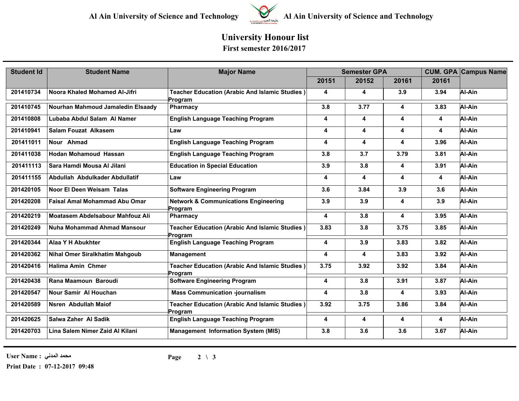

# **Al Ain University of Science and Technology Al Ain University of Science and Technology**

### **University Honour list First semester 2016/2017**

| <b>Student Id</b> | <b>Student Name</b>                   | <b>Major Name</b>                                                | <b>Semester GPA</b> |                         |       |       | <b>CUM. GPA Campus Name</b> |
|-------------------|---------------------------------------|------------------------------------------------------------------|---------------------|-------------------------|-------|-------|-----------------------------|
|                   |                                       |                                                                  | 20151               | 20152                   | 20161 | 20161 |                             |
| 201410734         | Noora Khaled Mohamed Al-Jifri         | Teacher Education (Arabic And Islamic Studies)<br>Program        | 4                   | 4                       | 3.9   | 3.94  | Al-Ain                      |
| 201410745         | Nourhan Mahmoud Jamaledin Elsaady     | <b>Pharmacy</b>                                                  | 3.8                 | 3.77                    | 4     | 3.83  | Al-Ain                      |
| 201410808         | Lubaba Abdul Salam Al Namer           | <b>English Language Teaching Program</b>                         | 4                   | 4                       | 4     | 4     | Al-Ain                      |
| 201410941         | <b>Salam Fouzat Alkasem</b>           | Law                                                              | 4                   | $\overline{\mathbf{4}}$ | 4     | 4     | Al-Ain                      |
| 201411011         | Nour Ahmad                            | <b>English Language Teaching Program</b>                         | 4                   | 4                       | 4     | 3.96  | Al-Ain                      |
| 201411038         | <b>Hodan Mohamoud Hassan</b>          | <b>English Language Teaching Program</b>                         | 3.8                 | 3.7                     | 3.79  | 3.81  | Al-Ain                      |
| 201411113         | Sara Hamdi Mousa Al Jilani            | <b>Education in Special Education</b>                            | 3.9                 | 3.8                     | 4     | 3.91  | Al-Ain                      |
| 201411155         | Abdullah Abdulkader Abdullatif        | Law                                                              | 4                   | 4                       | 4     | 4     | Al-Ain                      |
| 201420105         | Noor El Deen Weisam Talas             | <b>Software Engineering Program</b>                              | 3.6                 | 3.84                    | 3.9   | 3.6   | Al-Ain                      |
| 201420208         | <b>Faisal Amal Mohammad Abu Omar</b>  | <b>Network &amp; Communications Engineering</b><br>Program       | 3.9                 | 3.9                     | 4     | 3.9   | Al-Ain                      |
| 201420219         | Moatasem Abdelsabour Mahfouz Ali      | Pharmacy                                                         | 4                   | 3.8                     | 4     | 3.95  | Al-Ain                      |
| 201420249         | Nuha Mohammad Ahmad Mansour           | Teacher Education (Arabic And Islamic Studies)<br>Program        | 3.83                | 3.8                     | 3.75  | 3.85  | Al-Ain                      |
| 201420344         | Alaa Y H Abukhter                     | <b>English Language Teaching Program</b>                         | 4                   | 3.9                     | 3.83  | 3.82  | Al-Ain                      |
| 201420362         | <b>Nihal Omer Siralkhatim Mahgoub</b> | <b>Management</b>                                                | 4                   | 4                       | 3.83  | 3.92  | Al-Ain                      |
| 201420416         | <b>Halima Amin Chmer</b>              | Teacher Education (Arabic And Islamic Studies)<br>Program        | 3.75                | 3.92                    | 3.92  | 3.84  | Al-Ain                      |
| 201420438         | Rana Maamoun Baroudi                  | <b>Software Engineering Program</b>                              | 4                   | 3.8                     | 3.91  | 3.87  | Al-Ain                      |
| 201420547         | <b>Nour Samir Al Houchan</b>          | <b>Mass Communication -journalism</b>                            | 4                   | 3.8                     | 4     | 3.93  | Al-Ain                      |
| 201420589         | Nsren Abdullah Maiof                  | <b>Teacher Education (Arabic And Islamic Studies)</b><br>Program | 3.92                | 3.75                    | 3.86  | 3.84  | Al-Ain                      |
| 201420625         | Salwa Zaher Al Sadik                  | <b>English Language Teaching Program</b>                         | 4                   | 4                       | 4     | 4     | Al-Ain                      |
| 201420703         | Lina Salem Nimer Zaid Al Kilani       | <b>Management Information System (MIS)</b>                       | 3.8                 | 3.6                     | 3.6   | 3.67  | Al-Ain                      |

**محمد المدني : Name User**